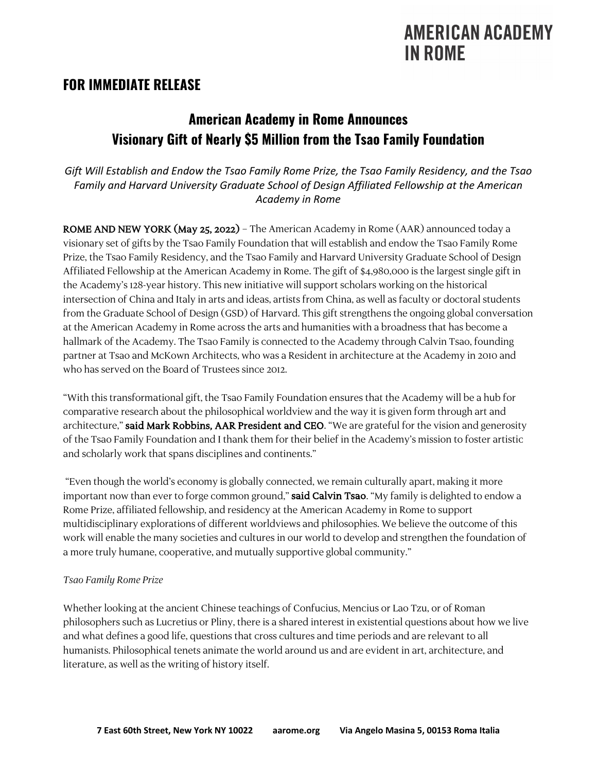# **AMERICAN ACADEMY IN ROME**

### **FOR IMMEDIATE RELEASE**

## **American Academy in Rome Announces Visionary Gift of Nearly \$5 Million from the Tsao Family Foundation**

*Gift Will Establish and Endow the Tsao Family Rome Prize, the Tsao Family Residency, and the Tsao Family and Harvard University Graduate School of Design Affiliated Fellowship at the American Academy in Rome*

ROME AND NEW YORK (May 25, 2022) – The American Academy in Rome (AAR) announced today a visionary set of gifts by the Tsao Family Foundation that will establish and endow the Tsao Family Rome Prize, the Tsao Family Residency, and the Tsao Family and Harvard University Graduate School of Design Affiliated Fellowship at the American Academy in Rome. The gift of \$4,980,000 is the largest single gift in the Academy's 128-year history. This new initiative will support scholars working on the historical intersection of China and Italy in arts and ideas, artists from China, as well as faculty or doctoral students from the Graduate School of Design (GSD) of Harvard. This gift strengthens the ongoing global conversation at the American Academy in Rome across the arts and humanities with a broadness that has become a hallmark of the Academy. The Tsao Family is connected to the Academy through Calvin Tsao, founding partner at Tsao and McKown Architects, who was a Resident in architecture at the Academy in 2010 and who has served on the Board of Trustees since 2012.

"With this transformational gift, the Tsao Family Foundation ensures that the Academy will be a hub for comparative research about the philosophical worldview and the way it is given form through art and architecture," said Mark Robbins, AAR President and CEO. "We are grateful for the vision and generosity of the Tsao Family Foundation and I thank them for their belief in the Academy's mission to foster artistic and scholarly work that spans disciplines and continents."

"Even though the world's economy is globally connected, we remain culturally apart, making it more important now than ever to forge common ground," **said Calvin Tsao**. "My family is delighted to endow a Rome Prize, affiliated fellowship, and residency at the American Academy in Rome to support multidisciplinary explorations of different worldviews and philosophies. We believe the outcome of this work will enable the many societies and cultures in our world to develop and strengthen the foundation of a more truly humane, cooperative, and mutually supportive global community."

#### *Tsao Family Rome Prize*

Whether looking at the ancient Chinese teachings of Confucius, Mencius or Lao Tzu, or of Roman philosophers such as Lucretius or Pliny, there is a shared interest in existential questions about how we live and what defines a good life, questions that cross cultures and time periods and are relevant to all humanists. Philosophical tenets animate the world around us and are evident in art, architecture, and literature, as well as the writing of history itself.